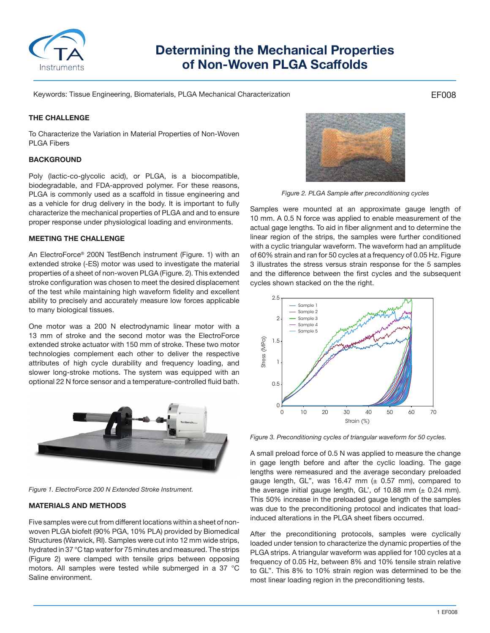

# **Determining the Mechanical Properties of Non-Woven PLGA Scaffolds**

Keywords: Tissue Engineering, Biomaterials, PLGA Mechanical Characterization

## **THE CHALLENGE**

To Characterize the Variation in Material Properties of Non-Woven PLGA Fibers

# **BACKGROUND**

Poly (lactic-co-glycolic acid), or PLGA, is a biocompatible, biodegradable, and FDA-approved polymer. For these reasons, PLGA is commonly used as a scaffold in tissue engineering and as a vehicle for drug delivery in the body. It is important to fully characterize the mechanical properties of PLGA and and to ensure proper response under physiological loading and environments.

#### **MEETING THE CHALLENGE**

An ElectroForce® 200N TestBench instrument (Figure. 1) with an extended stroke (-ES) motor was used to investigate the material properties of a sheet of non-woven PLGA (Figure. 2). This extended stroke configuration was chosen to meet the desired displacement of the test while maintaining high waveform fidelity and excellent ability to precisely and accurately measure low forces applicable to many biological tissues.

One motor was a 200 N electrodynamic linear motor with a 13 mm of stroke and the second motor was the ElectroForce extended stroke actuator with 150 mm of stroke. These two motor technologies complement each other to deliver the respective attributes of high cycle durability and frequency loading, and slower long-stroke motions. The system was equipped with an optional 22 N force sensor and a temperature-controlled fluid bath.



*Figure 1. ElectroForce 200 N Extended Stroke Instrument.*

# **MATERIALS AND METHODS**

Five samples were cut from different locations within a sheet of nonwoven PLGA biofelt (90% PGA, 10% PLA) provided by Biomedical Structures (Warwick, RI). Samples were cut into 12 mm wide strips, hydrated in 37 °C tap water for 75 minutes and measured. The strips (Figure 2) were clamped with tensile grips between opposing motors. All samples were tested while submerged in a 37 °C Saline environment.



*Figure 2. PLGA Sample after preconditioning cycles*

Samples were mounted at an approximate gauge length of 10 mm. A 0.5 N force was applied to enable measurement of the actual gage lengths. To aid in fiber alignment and to determine the linear region of the strips, the samples were further conditioned with a cyclic triangular waveform. The waveform had an amplitude of 60% strain and ran for 50 cycles at a frequency of 0.05 Hz. Figure 3 illustrates the stress versus strain response for the 5 samples and the difference between the first cycles and the subsequent cycles shown stacked on the the right.



*Figure 3. Preconditioning cycles of triangular waveform for 50 cycles.* 

A small preload force of 0.5 N was applied to measure the change in gage length before and after the cyclic loading. The gage lengths were remeasured and the average secondary preloaded gauge length, GL", was 16.47 mm  $(± 0.57$  mm), compared to the average initial gauge length, GL', of 10.88 mm  $(± 0.24$  mm). This 50% increase in the preloaded gauge length of the samples was due to the preconditioning protocol and indicates that loadinduced alterations in the PLGA sheet fibers occurred.

After the preconditioning protocols, samples were cyclically loaded under tension to characterize the dynamic properties of the PLGA strips. A triangular waveform was applied for 100 cycles at a frequency of 0.05 Hz, between 8% and 10% tensile strain relative to GL''. This 8% to 10% strain region was determined to be the